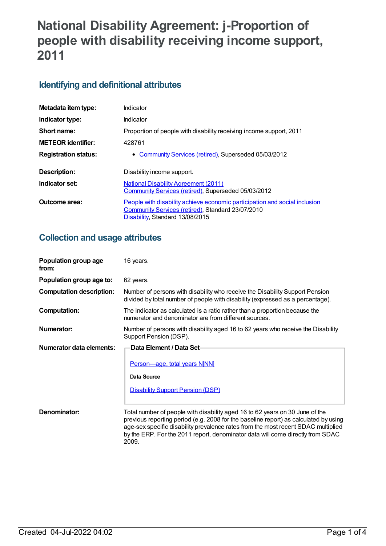# **National Disability Agreement: j-Proportion of people with disability receiving income support, 2011**

## **Identifying and definitional attributes**

| Metadata item type:         | Indicator                                                                                                                                                          |
|-----------------------------|--------------------------------------------------------------------------------------------------------------------------------------------------------------------|
| Indicator type:             | Indicator                                                                                                                                                          |
| Short name:                 | Proportion of people with disability receiving income support, 2011                                                                                                |
| <b>METEOR identifier:</b>   | 428761                                                                                                                                                             |
| <b>Registration status:</b> | • Community Services (retired), Superseded 05/03/2012                                                                                                              |
| Description:                | Disability income support.                                                                                                                                         |
| Indicator set:              | <b>National Disability Agreement (2011)</b><br>Community Services (retired), Superseded 05/03/2012                                                                 |
| Outcome area:               | People with disability achieve economic participation and social inclusion<br>Community Services (retired), Standard 23/07/2010<br>Disability, Standard 13/08/2015 |

### **Collection and usage attributes**

| Population group age<br>from:   | 16 years.                                                                                                                                                                                                                                                                                                                                            |
|---------------------------------|------------------------------------------------------------------------------------------------------------------------------------------------------------------------------------------------------------------------------------------------------------------------------------------------------------------------------------------------------|
| Population group age to:        | 62 years.                                                                                                                                                                                                                                                                                                                                            |
| <b>Computation description:</b> | Number of persons with disability who receive the Disability Support Pension<br>divided by total number of people with disability (expressed as a percentage).                                                                                                                                                                                       |
| <b>Computation:</b>             | The indicator as calculated is a ratio rather than a proportion because the<br>numerator and denominator are from different sources.                                                                                                                                                                                                                 |
| Numerator:                      | Number of persons with disability aged 16 to 62 years who receive the Disability<br>Support Pension (DSP).                                                                                                                                                                                                                                           |
| Numerator data elements:        | Data Element / Data Set-                                                                                                                                                                                                                                                                                                                             |
|                                 | <b>Person-age, total years N[NN]</b><br>Data Source<br><b>Disability Support Pension (DSP)</b>                                                                                                                                                                                                                                                       |
| Denominator:                    | Total number of people with disability aged 16 to 62 years on 30 June of the<br>previous reporting period (e.g. 2008 for the baseline report) as calculated by using<br>age-sex specific disability prevalence rates from the most recent SDAC multiplied<br>by the ERP. For the 2011 report, denominator data will come directly from SDAC<br>2009. |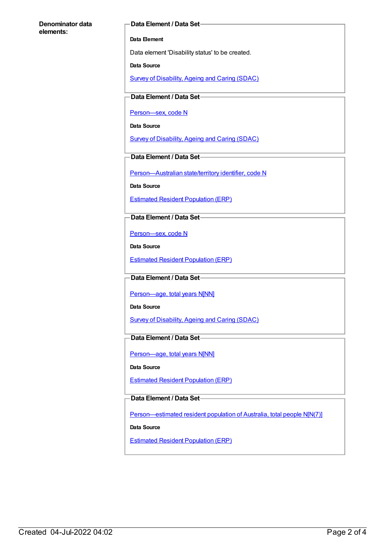#### **Denominator data elements:**

### **Data Element / Data Set**

#### **Data Element**

Data element 'Disability status' to be created.

**Data Source**

Survey of [Disability,](https://meteor.aihw.gov.au/content/393867) Ageing and Caring (SDAC)

**Data Element / Data Set**

[Person—sex,](https://meteor.aihw.gov.au/content/270263) code N

**Data Source**

Survey of [Disability,](https://meteor.aihw.gov.au/content/393867) Ageing and Caring (SDAC)

**Data Element / Data Set**

[Person—Australian](https://meteor.aihw.gov.au/content/286919) state/territory identifier, code N

**Data Source**

Estimated Resident [Population](https://meteor.aihw.gov.au/content/393889) (ERP)

**Data Element / Data Set**

[Person—sex,](https://meteor.aihw.gov.au/content/287316) code N

**Data Source**

Estimated Resident [Population](https://meteor.aihw.gov.au/content/393889) (ERP)

### **Data Element / Data Set**

Person-age, total years N[NN]

**Data Source**

Survey of [Disability,](https://meteor.aihw.gov.au/content/393867) Ageing and Caring (SDAC)

### **Data Element / Data Set**

Person-age, total years N[NN]

**Data Source**

Estimated Resident [Population](https://meteor.aihw.gov.au/content/393889) (ERP)

### **Data Element / Data Set**

[Person—estimated](https://meteor.aihw.gov.au/content/388656) resident population of Australia, total people N[N(7)]

**Data Source**

Estimated Resident [Population](https://meteor.aihw.gov.au/content/393889) (ERP)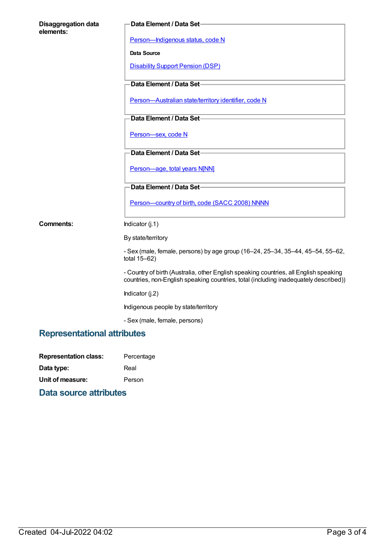| <b>Disaggregation data</b><br>elements: | Data Element / Data Set-                                                                                                                                                      |  |
|-----------------------------------------|-------------------------------------------------------------------------------------------------------------------------------------------------------------------------------|--|
|                                         | Person-Indigenous status, code N                                                                                                                                              |  |
|                                         | Data Source                                                                                                                                                                   |  |
|                                         | <b>Disability Support Pension (DSP)</b>                                                                                                                                       |  |
|                                         | Data Element / Data Set-                                                                                                                                                      |  |
|                                         | Person-Australian state/territory identifier, code N                                                                                                                          |  |
|                                         | Data Element / Data Set-                                                                                                                                                      |  |
|                                         | Person-sex, code N                                                                                                                                                            |  |
|                                         | Data Element / Data Set-                                                                                                                                                      |  |
|                                         | Person-age, total years N[NN]                                                                                                                                                 |  |
|                                         | Data Element / Data Set-                                                                                                                                                      |  |
|                                         | Person-country of birth, code (SACC 2008) NNNN                                                                                                                                |  |
| Comments:                               | Indicator (j.1)                                                                                                                                                               |  |
|                                         | By state/territory                                                                                                                                                            |  |
|                                         | - Sex (male, female, persons) by age group (16-24, 25-34, 35-44, 45-54, 55-62,<br>total $15-62$ )                                                                             |  |
|                                         | - Country of birth (Australia, other English speaking countries, all English speaking<br>countries, non-English speaking countries, total (including inadequately described)) |  |
|                                         | Indicator (j.2)                                                                                                                                                               |  |
|                                         | Indigenous people by state/territory                                                                                                                                          |  |
|                                         | - Sex (male, female, persons)                                                                                                                                                 |  |
| <b>Representational attributes</b>      |                                                                                                                                                                               |  |

| Percentage |
|------------|
| Real       |
| Person     |
|            |

### **Data source attributes**